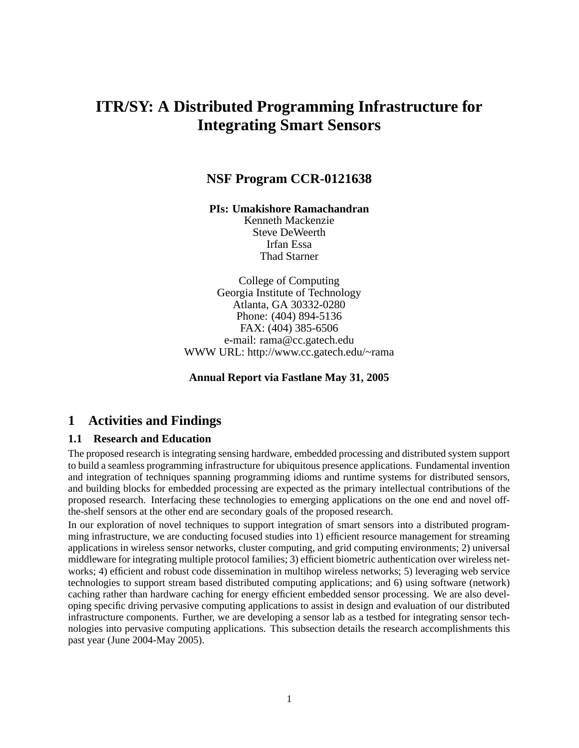# **ITR/SY: A Distributed Programming Infrastructure for Integrating Smart Sensors**

### **NSF Program CCR-0121638**

**PIs: Umakishore Ramachandran**

Kenneth Mackenzie Steve DeWeerth Irfan Essa Thad Starner

College of Computing Georgia Institute of Technology Atlanta, GA 30332-0280 Phone: (404) 894-5136 FAX: (404) 385-6506 e-mail: rama@cc.gatech.edu WWW URL: http://www.cc.gatech.edu/~rama

**Annual Report via Fastlane May 31, 2005**

### **1 Activities and Findings**

#### **1.1 Research and Education**

The proposed research is integrating sensing hardware, embedded processing and distributed system support to build a seamless programming infrastructure for ubiquitous presence applications. Fundamental invention and integration of techniques spanning programming idioms and runtime systems for distributed sensors, and building blocks for embedded processing are expected as the primary intellectual contributions of the proposed research. Interfacing these technologies to emerging applications on the one end and novel offthe-shelf sensors at the other end are secondary goals of the proposed research.

In our exploration of novel techniques to support integration of smart sensors into a distributed programming infrastructure, we are conducting focused studies into 1) efficient resource management for streaming applications in wireless sensor networks, cluster computing, and grid computing environments; 2) universal middleware for integrating multiple protocol families; 3) efficient biometric authentication over wireless networks; 4) efficient and robust code dissemination in multihop wireless networks; 5) leveraging web service technologies to support stream based distributed computing applications; and 6) using software (network) caching rather than hardware caching for energy efficient embedded sensor processing. We are also developing specific driving pervasive computing applications to assist in design and evaluation of our distributed infrastructure components. Further, we are developing a sensor lab as a testbed for integrating sensor technologies into pervasive computing applications. This subsection details the research accomplishments this past year (June 2004-May 2005).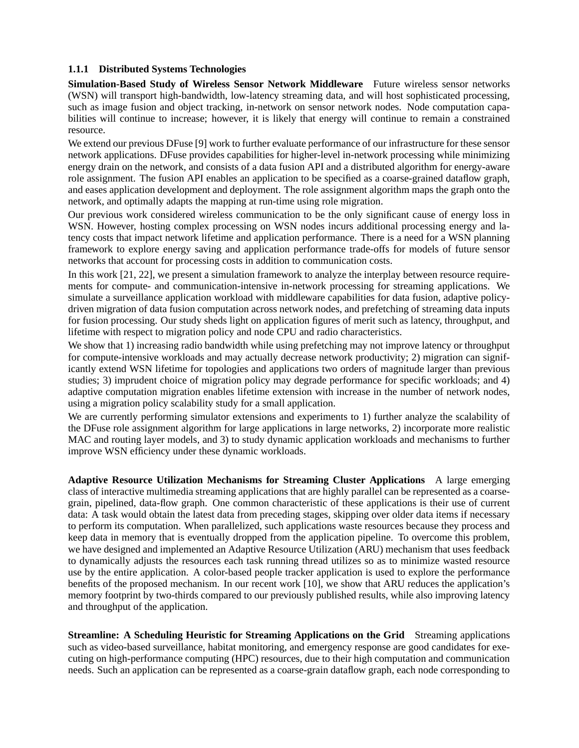#### **1.1.1 Distributed Systems Technologies**

**Simulation-Based Study of Wireless Sensor Network Middleware** Future wireless sensor networks (WSN) will transport high-bandwidth, low-latency streaming data, and will host sophisticated processing, such as image fusion and object tracking, in-network on sensor network nodes. Node computation capabilities will continue to increase; however, it is likely that energy will continue to remain a constrained resource.

We extend our previous DFuse [9] work to further evaluate performance of our infrastructure for these sensor network applications. DFuse provides capabilities for higher-level in-network processing while minimizing energy drain on the network, and consists of a data fusion API and a distributed algorithm for energy-aware role assignment. The fusion API enables an application to be specified as a coarse-grained dataflow graph, and eases application development and deployment. The role assignment algorithm maps the graph onto the network, and optimally adapts the mapping at run-time using role migration.

Our previous work considered wireless communication to be the only significant cause of energy loss in WSN. However, hosting complex processing on WSN nodes incurs additional processing energy and latency costs that impact network lifetime and application performance. There is a need for a WSN planning framework to explore energy saving and application performance trade-offs for models of future sensor networks that account for processing costs in addition to communication costs.

In this work [21, 22], we present a simulation framework to analyze the interplay between resource requirements for compute- and communication-intensive in-network processing for streaming applications. We simulate a surveillance application workload with middleware capabilities for data fusion, adaptive policydriven migration of data fusion computation across network nodes, and prefetching of streaming data inputs for fusion processing. Our study sheds light on application figures of merit such as latency, throughput, and lifetime with respect to migration policy and node CPU and radio characteristics.

We show that 1) increasing radio bandwidth while using prefetching may not improve latency or throughput for compute-intensive workloads and may actually decrease network productivity; 2) migration can significantly extend WSN lifetime for topologies and applications two orders of magnitude larger than previous studies; 3) imprudent choice of migration policy may degrade performance for specific workloads; and 4) adaptive computation migration enables lifetime extension with increase in the number of network nodes, using a migration policy scalability study for a small application.

We are currently performing simulator extensions and experiments to 1) further analyze the scalability of the DFuse role assignment algorithm for large applications in large networks, 2) incorporate more realistic MAC and routing layer models, and 3) to study dynamic application workloads and mechanisms to further improve WSN efficiency under these dynamic workloads.

**Adaptive Resource Utilization Mechanisms for Streaming Cluster Applications** A large emerging class of interactive multimedia streaming applications that are highly parallel can be represented as a coarsegrain, pipelined, data-flow graph. One common characteristic of these applications is their use of current data: A task would obtain the latest data from preceding stages, skipping over older data items if necessary to perform its computation. When parallelized, such applications waste resources because they process and keep data in memory that is eventually dropped from the application pipeline. To overcome this problem, we have designed and implemented an Adaptive Resource Utilization (ARU) mechanism that uses feedback to dynamically adjusts the resources each task running thread utilizes so as to minimize wasted resource use by the entire application. A color-based people tracker application is used to explore the performance benefits of the proposed mechanism. In our recent work [10], we show that ARU reduces the application's memory footprint by two-thirds compared to our previously published results, while also improving latency and throughput of the application.

**Streamline: A Scheduling Heuristic for Streaming Applications on the Grid** Streaming applications such as video-based surveillance, habitat monitoring, and emergency response are good candidates for executing on high-performance computing (HPC) resources, due to their high computation and communication needs. Such an application can be represented as a coarse-grain dataflow graph, each node corresponding to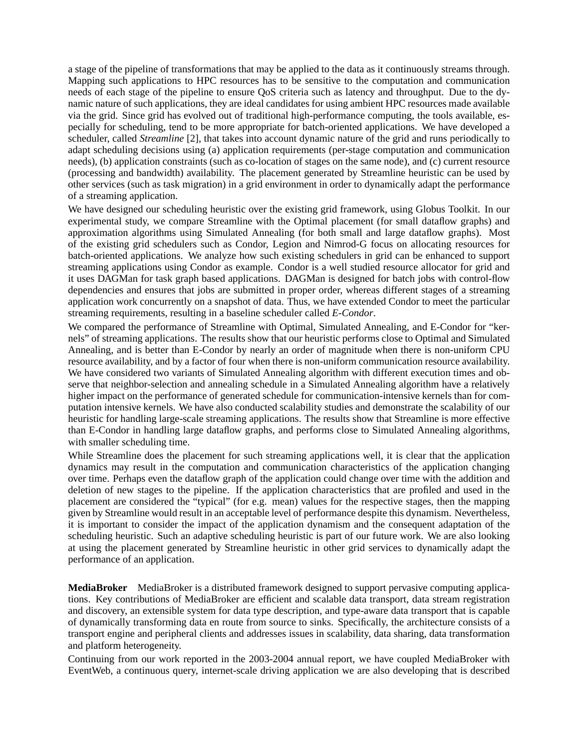a stage of the pipeline of transformations that may be applied to the data as it continuously streams through. Mapping such applications to HPC resources has to be sensitive to the computation and communication needs of each stage of the pipeline to ensure QoS criteria such as latency and throughput. Due to the dynamic nature of such applications, they are ideal candidates for using ambient HPC resources made available via the grid. Since grid has evolved out of traditional high-performance computing, the tools available, especially for scheduling, tend to be more appropriate for batch-oriented applications. We have developed a scheduler, called *Streamline* [2], that takes into account dynamic nature of the grid and runs periodically to adapt scheduling decisions using (a) application requirements (per-stage computation and communication needs), (b) application constraints (such as co-location of stages on the same node), and (c) current resource (processing and bandwidth) availability. The placement generated by Streamline heuristic can be used by other services (such as task migration) in a grid environment in order to dynamically adapt the performance of a streaming application.

We have designed our scheduling heuristic over the existing grid framework, using Globus Toolkit. In our experimental study, we compare Streamline with the Optimal placement (for small dataflow graphs) and approximation algorithms using Simulated Annealing (for both small and large dataflow graphs). Most of the existing grid schedulers such as Condor, Legion and Nimrod-G focus on allocating resources for batch-oriented applications. We analyze how such existing schedulers in grid can be enhanced to support streaming applications using Condor as example. Condor is a well studied resource allocator for grid and it uses DAGMan for task graph based applications. DAGMan is designed for batch jobs with control-flow dependencies and ensures that jobs are submitted in proper order, whereas different stages of a streaming application work concurrently on a snapshot of data. Thus, we have extended Condor to meet the particular streaming requirements, resulting in a baseline scheduler called *E-Condor*.

We compared the performance of Streamline with Optimal, Simulated Annealing, and E-Condor for "kernels" of streaming applications. The results show that our heuristic performs close to Optimal and Simulated Annealing, and is better than E-Condor by nearly an order of magnitude when there is non-uniform CPU resource availability, and by a factor of four when there is non-uniform communication resource availability. We have considered two variants of Simulated Annealing algorithm with different execution times and observe that neighbor-selection and annealing schedule in a Simulated Annealing algorithm have a relatively higher impact on the performance of generated schedule for communication-intensive kernels than for computation intensive kernels. We have also conducted scalability studies and demonstrate the scalability of our heuristic for handling large-scale streaming applications. The results show that Streamline is more effective than E-Condor in handling large dataflow graphs, and performs close to Simulated Annealing algorithms, with smaller scheduling time.

While Streamline does the placement for such streaming applications well, it is clear that the application dynamics may result in the computation and communication characteristics of the application changing over time. Perhaps even the dataflow graph of the application could change over time with the addition and deletion of new stages to the pipeline. If the application characteristics that are profiled and used in the placement are considered the "typical" (for e.g. mean) values for the respective stages, then the mapping given by Streamline would result in an acceptable level of performance despite this dynamism. Nevertheless, it is important to consider the impact of the application dynamism and the consequent adaptation of the scheduling heuristic. Such an adaptive scheduling heuristic is part of our future work. We are also looking at using the placement generated by Streamline heuristic in other grid services to dynamically adapt the performance of an application.

**MediaBroker** MediaBroker is a distributed framework designed to support pervasive computing applications. Key contributions of MediaBroker are efficient and scalable data transport, data stream registration and discovery, an extensible system for data type description, and type-aware data transport that is capable of dynamically transforming data en route from source to sinks. Specifically, the architecture consists of a transport engine and peripheral clients and addresses issues in scalability, data sharing, data transformation and platform heterogeneity.

Continuing from our work reported in the 2003-2004 annual report, we have coupled MediaBroker with EventWeb, a continuous query, internet-scale driving application we are also developing that is described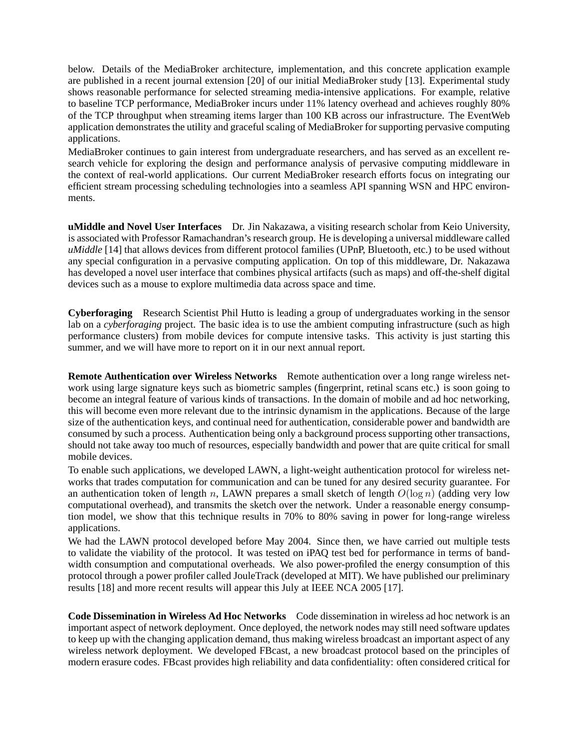below. Details of the MediaBroker architecture, implementation, and this concrete application example are published in a recent journal extension [20] of our initial MediaBroker study [13]. Experimental study shows reasonable performance for selected streaming media-intensive applications. For example, relative to baseline TCP performance, MediaBroker incurs under 11% latency overhead and achieves roughly 80% of the TCP throughput when streaming items larger than 100 KB across our infrastructure. The EventWeb application demonstrates the utility and graceful scaling of MediaBroker for supporting pervasive computing applications.

MediaBroker continues to gain interest from undergraduate researchers, and has served as an excellent research vehicle for exploring the design and performance analysis of pervasive computing middleware in the context of real-world applications. Our current MediaBroker research efforts focus on integrating our efficient stream processing scheduling technologies into a seamless API spanning WSN and HPC environments.

**uMiddle and Novel User Interfaces** Dr. Jin Nakazawa, a visiting research scholar from Keio University, is associated with Professor Ramachandran's research group. He is developing a universal middleware called *uMiddle* [14] that allows devices from different protocol families (UPnP, Bluetooth, etc.) to be used without any special configuration in a pervasive computing application. On top of this middleware, Dr. Nakazawa has developed a novel user interface that combines physical artifacts (such as maps) and off-the-shelf digital devices such as a mouse to explore multimedia data across space and time.

**Cyberforaging** Research Scientist Phil Hutto is leading a group of undergraduates working in the sensor lab on a *cyberforaging* project. The basic idea is to use the ambient computing infrastructure (such as high performance clusters) from mobile devices for compute intensive tasks. This activity is just starting this summer, and we will have more to report on it in our next annual report.

**Remote Authentication over Wireless Networks** Remote authentication over a long range wireless network using large signature keys such as biometric samples (fingerprint, retinal scans etc.) is soon going to become an integral feature of various kinds of transactions. In the domain of mobile and ad hoc networking, this will become even more relevant due to the intrinsic dynamism in the applications. Because of the large size of the authentication keys, and continual need for authentication, considerable power and bandwidth are consumed by such a process. Authentication being only a background process supporting other transactions, should not take away too much of resources, especially bandwidth and power that are quite critical for small mobile devices.

To enable such applications, we developed LAWN, a light-weight authentication protocol for wireless networks that trades computation for communication and can be tuned for any desired security guarantee. For an authentication token of length n, LAWN prepares a small sketch of length  $O(\log n)$  (adding very low computational overhead), and transmits the sketch over the network. Under a reasonable energy consumption model, we show that this technique results in 70% to 80% saving in power for long-range wireless applications.

We had the LAWN protocol developed before May 2004. Since then, we have carried out multiple tests to validate the viability of the protocol. It was tested on iPAQ test bed for performance in terms of bandwidth consumption and computational overheads. We also power-profiled the energy consumption of this protocol through a power profiler called JouleTrack (developed at MIT). We have published our preliminary results [18] and more recent results will appear this July at IEEE NCA 2005 [17].

**Code Dissemination in Wireless Ad Hoc Networks** Code dissemination in wireless ad hoc network is an important aspect of network deployment. Once deployed, the network nodes may still need software updates to keep up with the changing application demand, thus making wireless broadcast an important aspect of any wireless network deployment. We developed FBcast, a new broadcast protocol based on the principles of modern erasure codes. FBcast provides high reliability and data confidentiality: often considered critical for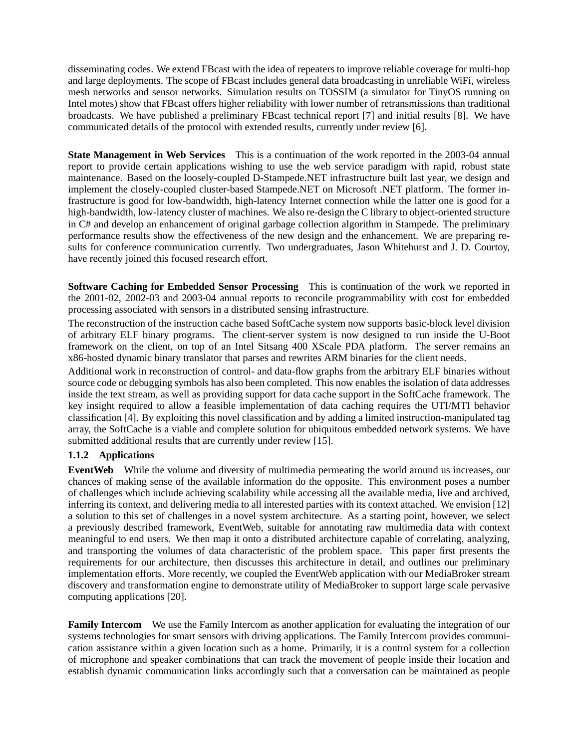disseminating codes. We extend FBcast with the idea of repeaters to improve reliable coverage for multi-hop and large deployments. The scope of FBcast includes general data broadcasting in unreliable WiFi, wireless mesh networks and sensor networks. Simulation results on TOSSIM (a simulator for TinyOS running on Intel motes) show that FBcast offers higher reliability with lower number of retransmissions than traditional broadcasts. We have published a preliminary FBcast technical report [7] and initial results [8]. We have communicated details of the protocol with extended results, currently under review [6].

**State Management in Web Services** This is a continuation of the work reported in the 2003-04 annual report to provide certain applications wishing to use the web service paradigm with rapid, robust state maintenance. Based on the loosely-coupled D-Stampede.NET infrastructure built last year, we design and implement the closely-coupled cluster-based Stampede.NET on Microsoft .NET platform. The former infrastructure is good for low-bandwidth, high-latency Internet connection while the latter one is good for a high-bandwidth, low-latency cluster of machines. We also re-design the C library to object-oriented structure in C# and develop an enhancement of original garbage collection algorithm in Stampede. The preliminary performance results show the effectiveness of the new design and the enhancement. We are preparing results for conference communication currently. Two undergraduates, Jason Whitehurst and J. D. Courtoy, have recently joined this focused research effort.

**Software Caching for Embedded Sensor Processing** This is continuation of the work we reported in the 2001-02, 2002-03 and 2003-04 annual reports to reconcile programmability with cost for embedded processing associated with sensors in a distributed sensing infrastructure.

The reconstruction of the instruction cache based SoftCache system now supports basic-block level division of arbitrary ELF binary programs. The client-server system is now designed to run inside the U-Boot framework on the client, on top of an Intel Sitsang 400 XScale PDA platform. The server remains an x86-hosted dynamic binary translator that parses and rewrites ARM binaries for the client needs.

Additional work in reconstruction of control- and data-flow graphs from the arbitrary ELF binaries without source code or debugging symbols has also been completed. This now enables the isolation of data addresses inside the text stream, as well as providing support for data cache support in the SoftCache framework. The key insight required to allow a feasible implementation of data caching requires the UTI/MTI behavior classification [4]. By exploiting this novel classification and by adding a limited instruction-manipulated tag array, the SoftCache is a viable and complete solution for ubiquitous embedded network systems. We have submitted additional results that are currently under review [15].

#### **1.1.2 Applications**

**EventWeb** While the volume and diversity of multimedia permeating the world around us increases, our chances of making sense of the available information do the opposite. This environment poses a number of challenges which include achieving scalability while accessing all the available media, live and archived, inferring its context, and delivering media to all interested parties with its context attached. We envision [12] a solution to this set of challenges in a novel system architecture. As a starting point, however, we select a previously described framework, EventWeb, suitable for annotating raw multimedia data with context meaningful to end users. We then map it onto a distributed architecture capable of correlating, analyzing, and transporting the volumes of data characteristic of the problem space. This paper first presents the requirements for our architecture, then discusses this architecture in detail, and outlines our preliminary implementation efforts. More recently, we coupled the EventWeb application with our MediaBroker stream discovery and transformation engine to demonstrate utility of MediaBroker to support large scale pervasive computing applications [20].

**Family Intercom** We use the Family Intercom as another application for evaluating the integration of our systems technologies for smart sensors with driving applications. The Family Intercom provides communication assistance within a given location such as a home. Primarily, it is a control system for a collection of microphone and speaker combinations that can track the movement of people inside their location and establish dynamic communication links accordingly such that a conversation can be maintained as people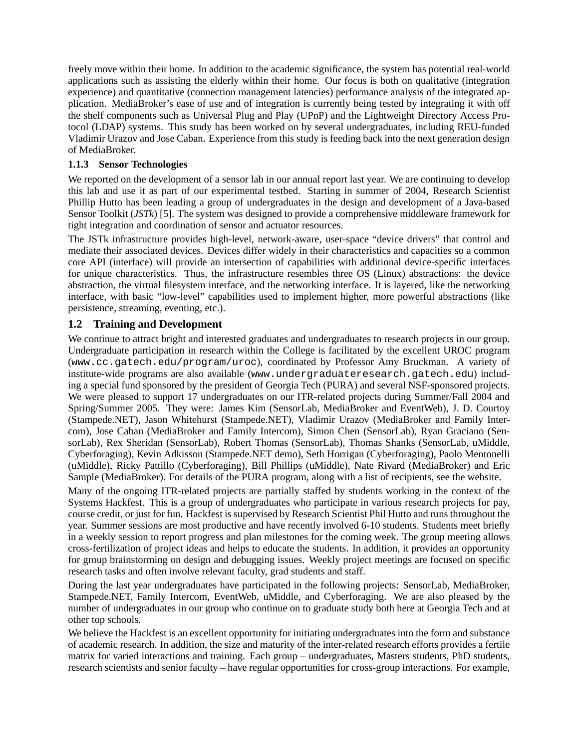freely move within their home. In addition to the academic significance, the system has potential real-world applications such as assisting the elderly within their home. Our focus is both on qualitative (integration experience) and quantitative (connection management latencies) performance analysis of the integrated application. MediaBroker's ease of use and of integration is currently being tested by integrating it with off the shelf components such as Universal Plug and Play (UPnP) and the Lightweight Directory Access Protocol (LDAP) systems. This study has been worked on by several undergraduates, including REU-funded Vladimir Urazov and Jose Caban. Experience from this study is feeding back into the next generation design of MediaBroker.

#### **1.1.3 Sensor Technologies**

We reported on the development of a sensor lab in our annual report last year. We are continuing to develop this lab and use it as part of our experimental testbed. Starting in summer of 2004, Research Scientist Phillip Hutto has been leading a group of undergraduates in the design and development of a Java-based Sensor Toolkit (*JSTk*) [5]. The system was designed to provide a comprehensive middleware framework for tight integration and coordination of sensor and actuator resources.

The JSTk infrastructure provides high-level, network-aware, user-space "device drivers" that control and mediate their associated devices. Devices differ widely in their characteristics and capacities so a common core API (interface) will provide an intersection of capabilities with additional device-specific interfaces for unique characteristics. Thus, the infrastructure resembles three OS (Linux) abstractions: the device abstraction, the virtual filesystem interface, and the networking interface. It is layered, like the networking interface, with basic "low-level" capabilities used to implement higher, more powerful abstractions (like persistence, streaming, eventing, etc.).

#### **1.2 Training and Development**

We continue to attract bright and interested graduates and undergraduates to research projects in our group. Undergraduate participation in research within the College is facilitated by the excellent UROC program (www.cc.gatech.edu/program/uroc), coordinated by Professor Amy Bruckman. A variety of institute-wide programs are also available (www.undergraduateresearch.gatech.edu) including a special fund sponsored by the president of Georgia Tech (PURA) and several NSF-sponsored projects. We were pleased to support 17 undergraduates on our ITR-related projects during Summer/Fall 2004 and Spring/Summer 2005. They were: James Kim (SensorLab, MediaBroker and EventWeb), J. D. Courtoy (Stampede.NET), Jason Whitehurst (Stampede.NET), Vladimir Urazov (MediaBroker and Family Intercom), Jose Caban (MediaBroker and Family Intercom), Simon Chen (SensorLab), Ryan Graciano (SensorLab), Rex Sheridan (SensorLab), Robert Thomas (SensorLab), Thomas Shanks (SensorLab, uMiddle, Cyberforaging), Kevin Adkisson (Stampede.NET demo), Seth Horrigan (Cyberforaging), Paolo Mentonelli (uMiddle), Ricky Pattillo (Cyberforaging), Bill Phillips (uMiddle), Nate Rivard (MediaBroker) and Eric Sample (MediaBroker). For details of the PURA program, along with a list of recipients, see the website.

Many of the ongoing ITR-related projects are partially staffed by students working in the context of the Systems Hackfest. This is a group of undergraduates who participate in various research projects for pay, course credit, or just for fun. Hackfest is supervised by Research Scientist Phil Hutto and runs throughout the year. Summer sessions are most productive and have recently involved 6-10 students. Students meet briefly in a weekly session to report progress and plan milestones for the coming week. The group meeting allows cross-fertilization of project ideas and helps to educate the students. In addition, it provides an opportunity for group brainstorming on design and debugging issues. Weekly project meetings are focused on specific research tasks and often involve relevant faculty, grad students and staff.

During the last year undergraduates have participated in the following projects: SensorLab, MediaBroker, Stampede.NET, Family Intercom, EventWeb, uMiddle, and Cyberforaging. We are also pleased by the number of undergraduates in our group who continue on to graduate study both here at Georgia Tech and at other top schools.

We believe the Hackfest is an excellent opportunity for initiating undergraduates into the form and substance of academic research. In addition, the size and maturity of the inter-related research efforts provides a fertile matrix for varied interactions and training. Each group – undergraduates, Masters students, PhD students, research scientists and senior faculty – have regular opportunities for cross-group interactions. For example,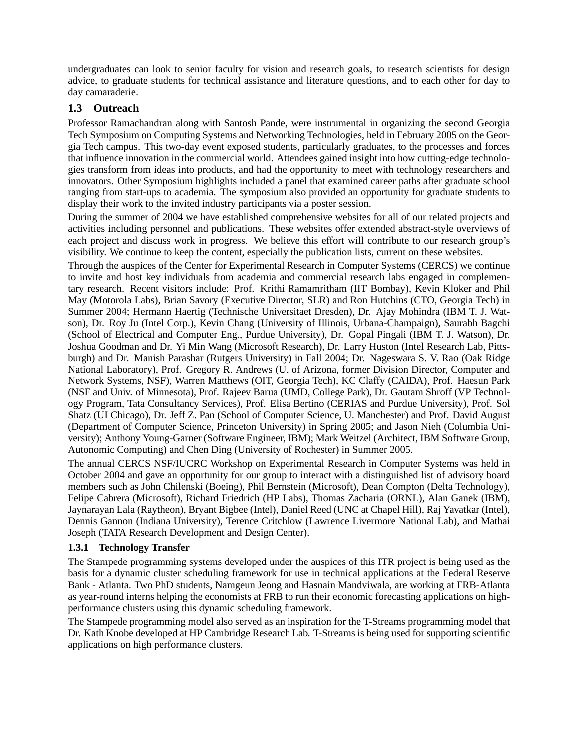undergraduates can look to senior faculty for vision and research goals, to research scientists for design advice, to graduate students for technical assistance and literature questions, and to each other for day to day camaraderie.

#### **1.3 Outreach**

Professor Ramachandran along with Santosh Pande, were instrumental in organizing the second Georgia Tech Symposium on Computing Systems and Networking Technologies, held in February 2005 on the Georgia Tech campus. This two-day event exposed students, particularly graduates, to the processes and forces that influence innovation in the commercial world. Attendees gained insight into how cutting-edge technologies transform from ideas into products, and had the opportunity to meet with technology researchers and innovators. Other Symposium highlights included a panel that examined career paths after graduate school ranging from start-ups to academia. The symposium also provided an opportunity for graduate students to display their work to the invited industry participants via a poster session.

During the summer of 2004 we have established comprehensive websites for all of our related projects and activities including personnel and publications. These websites offer extended abstract-style overviews of each project and discuss work in progress. We believe this effort will contribute to our research group's visibility. We continue to keep the content, especially the publication lists, current on these websites.

Through the auspices of the Center for Experimental Research in Computer Systems (CERCS) we continue to invite and host key individuals from academia and commercial research labs engaged in complementary research. Recent visitors include: Prof. Krithi Ramamritham (IIT Bombay), Kevin Kloker and Phil May (Motorola Labs), Brian Savory (Executive Director, SLR) and Ron Hutchins (CTO, Georgia Tech) in Summer 2004; Hermann Haertig (Technische Universitaet Dresden), Dr. Ajay Mohindra (IBM T. J. Watson), Dr. Roy Ju (Intel Corp.), Kevin Chang (University of Illinois, Urbana-Champaign), Saurabh Bagchi (School of Electrical and Computer Eng., Purdue University), Dr. Gopal Pingali (IBM T. J. Watson), Dr. Joshua Goodman and Dr. Yi Min Wang (Microsoft Research), Dr. Larry Huston (Intel Research Lab, Pittsburgh) and Dr. Manish Parashar (Rutgers University) in Fall 2004; Dr. Nageswara S. V. Rao (Oak Ridge National Laboratory), Prof. Gregory R. Andrews (U. of Arizona, former Division Director, Computer and Network Systems, NSF), Warren Matthews (OIT, Georgia Tech), KC Claffy (CAIDA), Prof. Haesun Park (NSF and Univ. of Minnesota), Prof. Rajeev Barua (UMD, College Park), Dr. Gautam Shroff (VP Technology Program, Tata Consultancy Services), Prof. Elisa Bertino (CERIAS and Purdue University), Prof. Sol Shatz (UI Chicago), Dr. Jeff Z. Pan (School of Computer Science, U. Manchester) and Prof. David August (Department of Computer Science, Princeton University) in Spring 2005; and Jason Nieh (Columbia University); Anthony Young-Garner (Software Engineer, IBM); Mark Weitzel (Architect, IBM Software Group, Autonomic Computing) and Chen Ding (University of Rochester) in Summer 2005.

The annual CERCS NSF/IUCRC Workshop on Experimental Research in Computer Systems was held in October 2004 and gave an opportunity for our group to interact with a distinguished list of advisory board members such as John Chilenski (Boeing), Phil Bernstein (Microsoft), Dean Compton (Delta Technology), Felipe Cabrera (Microsoft), Richard Friedrich (HP Labs), Thomas Zacharia (ORNL), Alan Ganek (IBM), Jaynarayan Lala (Raytheon), Bryant Bigbee (Intel), Daniel Reed (UNC at Chapel Hill), Raj Yavatkar (Intel), Dennis Gannon (Indiana University), Terence Critchlow (Lawrence Livermore National Lab), and Mathai Joseph (TATA Research Development and Design Center).

#### **1.3.1 Technology Transfer**

The Stampede programming systems developed under the auspices of this ITR project is being used as the basis for a dynamic cluster scheduling framework for use in technical applications at the Federal Reserve Bank - Atlanta. Two PhD students, Namgeun Jeong and Hasnain Mandviwala, are working at FRB-Atlanta as year-round interns helping the economists at FRB to run their economic forecasting applications on highperformance clusters using this dynamic scheduling framework.

The Stampede programming model also served as an inspiration for the T-Streams programming model that Dr. Kath Knobe developed at HP Cambridge Research Lab. T-Streams is being used for supporting scientific applications on high performance clusters.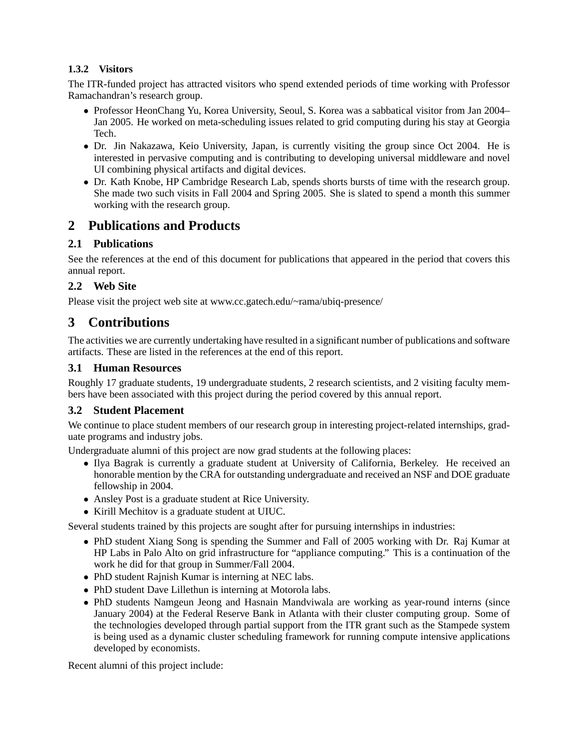#### **1.3.2 Visitors**

The ITR-funded project has attracted visitors who spend extended periods of time working with Professor Ramachandran's research group.

- Professor HeonChang Yu, Korea University, Seoul, S. Korea was a sabbatical visitor from Jan 2004– Jan 2005. He worked on meta-scheduling issues related to grid computing during his stay at Georgia Tech.
- Dr. Jin Nakazawa, Keio University, Japan, is currently visiting the group since Oct 2004. He is interested in pervasive computing and is contributing to developing universal middleware and novel UI combining physical artifacts and digital devices.
- Dr. Kath Knobe, HP Cambridge Research Lab, spends shorts bursts of time with the research group. She made two such visits in Fall 2004 and Spring 2005. She is slated to spend a month this summer working with the research group.

## **2 Publications and Products**

### **2.1 Publications**

See the references at the end of this document for publications that appeared in the period that covers this annual report.

### **2.2 Web Site**

Please visit the project web site at www.cc.gatech.edu/~rama/ubiq-presence/

## **3 Contributions**

The activities we are currently undertaking have resulted in a significant number of publications and software artifacts. These are listed in the references at the end of this report.

#### **3.1 Human Resources**

Roughly 17 graduate students, 19 undergraduate students, 2 research scientists, and 2 visiting faculty members have been associated with this project during the period covered by this annual report.

#### **3.2 Student Placement**

We continue to place student members of our research group in interesting project-related internships, graduate programs and industry jobs.

Undergraduate alumni of this project are now grad students at the following places:

- Ilya Bagrak is currently a graduate student at University of California, Berkeley. He received an honorable mention by the CRA for outstanding undergraduate and received an NSF and DOE graduate fellowship in 2004.
- Ansley Post is a graduate student at Rice University.
- Kirill Mechitov is a graduate student at UIUC.

Several students trained by this projects are sought after for pursuing internships in industries:

- PhD student Xiang Song is spending the Summer and Fall of 2005 working with Dr. Raj Kumar at HP Labs in Palo Alto on grid infrastructure for "appliance computing." This is a continuation of the work he did for that group in Summer/Fall 2004.
- PhD student Rajnish Kumar is interning at NEC labs.
- PhD student Dave Lillethun is interning at Motorola labs.
- PhD students Namgeun Jeong and Hasnain Mandviwala are working as year-round interns (since January 2004) at the Federal Reserve Bank in Atlanta with their cluster computing group. Some of the technologies developed through partial support from the ITR grant such as the Stampede system is being used as a dynamic cluster scheduling framework for running compute intensive applications developed by economists.

Recent alumni of this project include: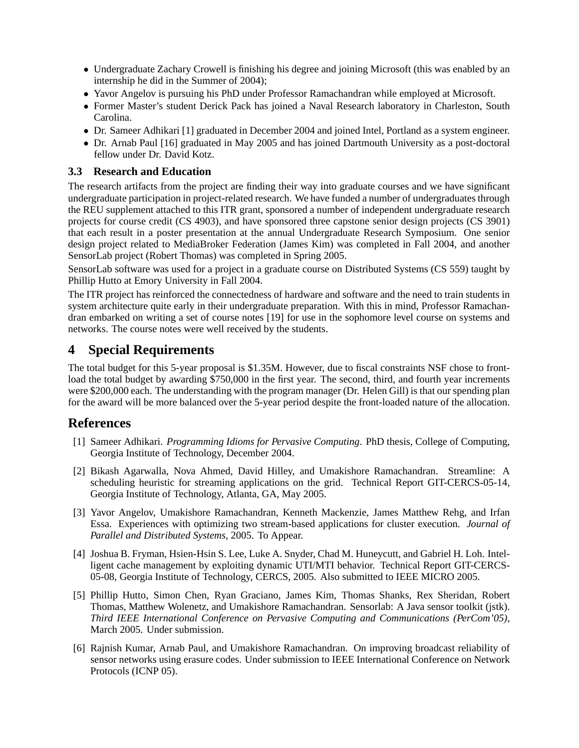- Undergraduate Zachary Crowell is finishing his degree and joining Microsoft (this was enabled by an internship he did in the Summer of 2004);
- Yavor Angelov is pursuing his PhD under Professor Ramachandran while employed at Microsoft.
- Former Master's student Derick Pack has joined a Naval Research laboratory in Charleston, South Carolina.
- Dr. Sameer Adhikari [1] graduated in December 2004 and joined Intel, Portland as a system engineer.
- Dr. Arnab Paul [16] graduated in May 2005 and has joined Dartmouth University as a post-doctoral fellow under Dr. David Kotz.

#### **3.3 Research and Education**

The research artifacts from the project are finding their way into graduate courses and we have significant undergraduate participation in project-related research. We have funded a number of undergraduates through the REU supplement attached to this ITR grant, sponsored a number of independent undergraduate research projects for course credit (CS 4903), and have sponsored three capstone senior design projects (CS 3901) that each result in a poster presentation at the annual Undergraduate Research Symposium. One senior design project related to MediaBroker Federation (James Kim) was completed in Fall 2004, and another SensorLab project (Robert Thomas) was completed in Spring 2005.

SensorLab software was used for a project in a graduate course on Distributed Systems (CS 559) taught by Phillip Hutto at Emory University in Fall 2004.

The ITR project has reinforced the connectedness of hardware and software and the need to train students in system architecture quite early in their undergraduate preparation. With this in mind, Professor Ramachandran embarked on writing a set of course notes [19] for use in the sophomore level course on systems and networks. The course notes were well received by the students.

# **4 Special Requirements**

The total budget for this 5-year proposal is \$1.35M. However, due to fiscal constraints NSF chose to frontload the total budget by awarding \$750,000 in the first year. The second, third, and fourth year increments were \$200,000 each. The understanding with the program manager (Dr. Helen Gill) is that our spending plan for the award will be more balanced over the 5-year period despite the front-loaded nature of the allocation.

### **References**

- [1] Sameer Adhikari. *Programming Idioms for Pervasive Computing*. PhD thesis, College of Computing, Georgia Institute of Technology, December 2004.
- [2] Bikash Agarwalla, Nova Ahmed, David Hilley, and Umakishore Ramachandran. Streamline: A scheduling heuristic for streaming applications on the grid. Technical Report GIT-CERCS-05-14, Georgia Institute of Technology, Atlanta, GA, May 2005.
- [3] Yavor Angelov, Umakishore Ramachandran, Kenneth Mackenzie, James Matthew Rehg, and Irfan Essa. Experiences with optimizing two stream-based applications for cluster execution. *Journal of Parallel and Distributed Systems*, 2005. To Appear.
- [4] Joshua B. Fryman, Hsien-Hsin S. Lee, Luke A. Snyder, Chad M. Huneycutt, and Gabriel H. Loh. Intelligent cache management by exploiting dynamic UTI/MTI behavior. Technical Report GIT-CERCS-05-08, Georgia Institute of Technology, CERCS, 2005. Also submitted to IEEE MICRO 2005.
- [5] Phillip Hutto, Simon Chen, Ryan Graciano, James Kim, Thomas Shanks, Rex Sheridan, Robert Thomas, Matthew Wolenetz, and Umakishore Ramachandran. Sensorlab: A Java sensor toolkit (jstk). *Third IEEE International Conference on Pervasive Computing and Communications (PerCom'05)*, March 2005. Under submission.
- [6] Rajnish Kumar, Arnab Paul, and Umakishore Ramachandran. On improving broadcast reliability of sensor networks using erasure codes. Under submission to IEEE International Conference on Network Protocols (ICNP 05).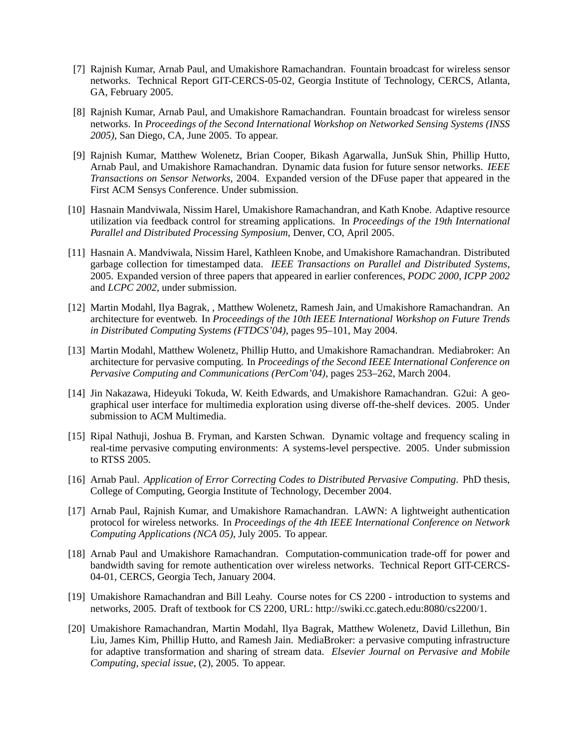- [7] Rajnish Kumar, Arnab Paul, and Umakishore Ramachandran. Fountain broadcast for wireless sensor networks. Technical Report GIT-CERCS-05-02, Georgia Institute of Technology, CERCS, Atlanta, GA, February 2005.
- [8] Rajnish Kumar, Arnab Paul, and Umakishore Ramachandran. Fountain broadcast for wireless sensor networks. In *Proceedings of the Second International Workshop on Networked Sensing Systems (INSS 2005)*, San Diego, CA, June 2005. To appear.
- [9] Rajnish Kumar, Matthew Wolenetz, Brian Cooper, Bikash Agarwalla, JunSuk Shin, Phillip Hutto, Arnab Paul, and Umakishore Ramachandran. Dynamic data fusion for future sensor networks. *IEEE Transactions on Sensor Networks*, 2004. Expanded version of the DFuse paper that appeared in the First ACM Sensys Conference. Under submission.
- [10] Hasnain Mandviwala, Nissim Harel, Umakishore Ramachandran, and Kath Knobe. Adaptive resource utilization via feedback control for streaming applications. In *Proceedings of the 19th International Parallel and Distributed Processing Symposium*, Denver, CO, April 2005.
- [11] Hasnain A. Mandviwala, Nissim Harel, Kathleen Knobe, and Umakishore Ramachandran. Distributed garbage collection for timestamped data. *IEEE Transactions on Parallel and Distributed Systems*, 2005. Expanded version of three papers that appeared in earlier conferences, *PODC 2000*, *ICPP 2002* and *LCPC 2002*, under submission.
- [12] Martin Modahl, Ilya Bagrak, , Matthew Wolenetz, Ramesh Jain, and Umakishore Ramachandran. An architecture for eventweb. In *Proceedings of the 10th IEEE International Workshop on Future Trends in Distributed Computing Systems (FTDCS'04)*, pages 95–101, May 2004.
- [13] Martin Modahl, Matthew Wolenetz, Phillip Hutto, and Umakishore Ramachandran. Mediabroker: An architecture for pervasive computing. In *Proceedings of the Second IEEE International Conference on Pervasive Computing and Communications (PerCom'04)*, pages 253–262, March 2004.
- [14] Jin Nakazawa, Hideyuki Tokuda, W. Keith Edwards, and Umakishore Ramachandran. G2ui: A geographical user interface for multimedia exploration using diverse off-the-shelf devices. 2005. Under submission to ACM Multimedia.
- [15] Ripal Nathuji, Joshua B. Fryman, and Karsten Schwan. Dynamic voltage and frequency scaling in real-time pervasive computing environments: A systems-level perspective. 2005. Under submission to RTSS 2005.
- [16] Arnab Paul. *Application of Error Correcting Codes to Distributed Pervasive Computing*. PhD thesis, College of Computing, Georgia Institute of Technology, December 2004.
- [17] Arnab Paul, Rajnish Kumar, and Umakishore Ramachandran. LAWN: A lightweight authentication protocol for wireless networks. In *Proceedings of the 4th IEEE International Conference on Network Computing Applications (NCA 05)*, July 2005. To appear.
- [18] Arnab Paul and Umakishore Ramachandran. Computation-communication trade-off for power and bandwidth saving for remote authentication over wireless networks. Technical Report GIT-CERCS-04-01, CERCS, Georgia Tech, January 2004.
- [19] Umakishore Ramachandran and Bill Leahy. Course notes for CS 2200 introduction to systems and networks, 2005. Draft of textbook for CS 2200, URL: http://swiki.cc.gatech.edu:8080/cs2200/1.
- [20] Umakishore Ramachandran, Martin Modahl, Ilya Bagrak, Matthew Wolenetz, David Lillethun, Bin Liu, James Kim, Phillip Hutto, and Ramesh Jain. MediaBroker: a pervasive computing infrastructure for adaptive transformation and sharing of stream data. *Elsevier Journal on Pervasive and Mobile Computing, special issue*, (2), 2005. To appear.